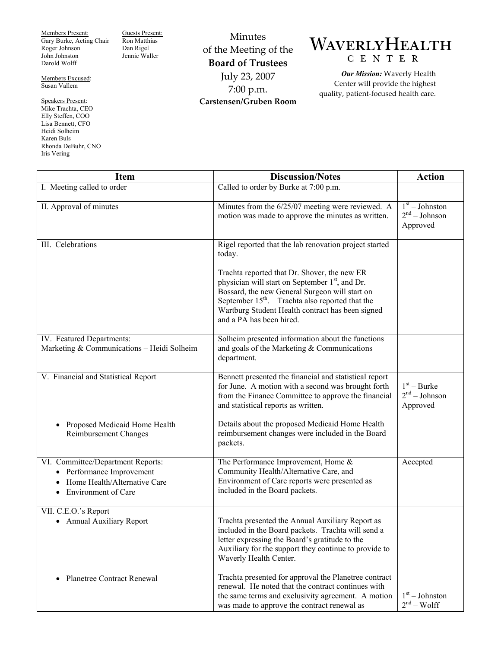Members Present: Gary Burke, Acting Chair Roger Johnson John Johnston Darold Wolff

Members Excused: Susan Vallem

Speakers Present: Mike Trachta, CEO Elly Steffen, COO Lisa Bennett, CFO Heidi Solheim Karen Buls Rhonda DeBuhr, CNO Iris Vering

Guests Present: Ron Matthias Dan Rigel Jennie Waller

Minutes of the Meeting of the **Board of Trustees**  July 23, 2007 7:00 p.m. **Carstensen/Gruben Room** 

## WAVERLYHEALTH CENTER

*Our Mission:* Waverly Health Center will provide the highest quality, patient-focused health care.

| <b>Item</b>                                                                                                                  | <b>Discussion/Notes</b>                                                                                                                                                                                                                                                                                                                                                          | <b>Action</b>                                   |
|------------------------------------------------------------------------------------------------------------------------------|----------------------------------------------------------------------------------------------------------------------------------------------------------------------------------------------------------------------------------------------------------------------------------------------------------------------------------------------------------------------------------|-------------------------------------------------|
| I. Meeting called to order                                                                                                   | Called to order by Burke at 7:00 p.m.                                                                                                                                                                                                                                                                                                                                            |                                                 |
| II. Approval of minutes                                                                                                      | Minutes from the 6/25/07 meeting were reviewed. A<br>motion was made to approve the minutes as written.                                                                                                                                                                                                                                                                          | $1st - Johnston$<br>$2nd - Johnson$<br>Approved |
| III. Celebrations                                                                                                            | Rigel reported that the lab renovation project started<br>today.<br>Trachta reported that Dr. Shover, the new ER<br>physician will start on September 1 <sup>st</sup> , and Dr.<br>Bossard, the new General Surgeon will start on<br>September 15 <sup>th</sup> . Trachta also reported that the<br>Wartburg Student Health contract has been signed<br>and a PA has been hired. |                                                 |
| IV. Featured Departments:<br>Marketing & Communications - Heidi Solheim                                                      | Solheim presented information about the functions<br>and goals of the Marketing $&$ Communications<br>department.                                                                                                                                                                                                                                                                |                                                 |
| V. Financial and Statistical Report<br>Proposed Medicaid Home Health<br>Reimbursement Changes                                | Bennett presented the financial and statistical report<br>for June. A motion with a second was brought forth<br>from the Finance Committee to approve the financial<br>and statistical reports as written.<br>Details about the proposed Medicaid Home Health<br>reimbursement changes were included in the Board                                                                | $1st - Burke$<br>$2nd - Johnson$<br>Approved    |
| VI. Committee/Department Reports:<br>• Performance Improvement<br>Home Health/Alternative Care<br><b>Environment of Care</b> | packets.<br>The Performance Improvement, Home &<br>Community Health/Alternative Care, and<br>Environment of Care reports were presented as<br>included in the Board packets.                                                                                                                                                                                                     | Accepted                                        |
| VII. C.E.O.'s Report<br>• Annual Auxiliary Report                                                                            | Trachta presented the Annual Auxiliary Report as<br>included in the Board packets. Trachta will send a<br>letter expressing the Board's gratitude to the<br>Auxiliary for the support they continue to provide to<br>Waverly Health Center.                                                                                                                                      |                                                 |
| <b>Planetree Contract Renewal</b>                                                                                            | Trachta presented for approval the Planetree contract<br>renewal. He noted that the contract continues with<br>the same terms and exclusivity agreement. A motion<br>was made to approve the contract renewal as                                                                                                                                                                 | $1st - Johnston$<br>$2nd - Wolf$                |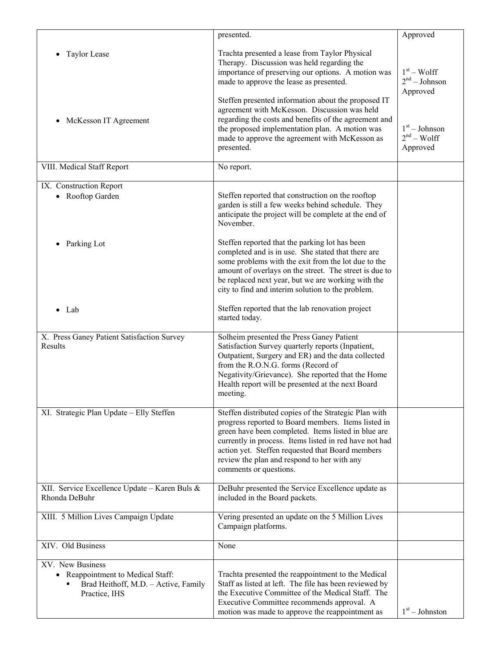|                                                                                                                           | presented.                                                                                                                                                                                                                                                                                                                                                 | Approved                                    |
|---------------------------------------------------------------------------------------------------------------------------|------------------------------------------------------------------------------------------------------------------------------------------------------------------------------------------------------------------------------------------------------------------------------------------------------------------------------------------------------------|---------------------------------------------|
| Taylor Lease                                                                                                              | Trachta presented a lease from Taylor Physical<br>Therapy. Discussion was held regarding the<br>importance of preserving our options. A motion was<br>made to approve the lease as presented.                                                                                                                                                              | $1st - Wolf$<br>$2nd - Johnson$<br>Approved |
| McKesson IT Agreement                                                                                                     | Steffen presented information about the proposed IT<br>agreement with McKesson. Discussion was held<br>regarding the costs and benefits of the agreement and<br>the proposed implementation plan. A motion was<br>made to approve the agreement with McKesson as<br>presented.                                                                             | $1st - Johnson$<br>$2nd - Wolf$<br>Approved |
| VIII. Medical Staff Report                                                                                                | No report.                                                                                                                                                                                                                                                                                                                                                 |                                             |
| IX. Construction Report<br>• Rooftop Garden                                                                               | Steffen reported that construction on the rooftop<br>garden is still a few weeks behind schedule. They<br>anticipate the project will be complete at the end of<br>November.                                                                                                                                                                               |                                             |
| Parking Lot<br>$\bullet$                                                                                                  | Steffen reported that the parking lot has been<br>completed and is in use. She stated that there are<br>some problems with the exit from the lot due to the<br>amount of overlays on the street. The street is due to<br>be replaced next year, but we are working with the<br>city to find and interim solution to the problem.                           |                                             |
| Lab                                                                                                                       | Steffen reported that the lab renovation project<br>started today.                                                                                                                                                                                                                                                                                         |                                             |
| X. Press Ganey Patient Satisfaction Survey<br>Results                                                                     | Solheim presented the Press Ganey Patient<br>Satisfaction Survey quarterly reports (Inpatient,<br>Outpatient, Surgery and ER) and the data collected<br>from the R.O.N.G. forms (Record of<br>Negativity/Grievance). She reported that the Home<br>Health report will be presented at the next Board<br>meeting.                                           |                                             |
| XI. Strategic Plan Update - Elly Steffen                                                                                  | Steffen distributed copies of the Strategic Plan with<br>progress reported to Board members. Items listed in<br>green have been completed. Items listed in blue are<br>currently in process. Items listed in red have not had<br>action yet. Steffen requested that Board members<br>review the plan and respond to her with any<br>comments or questions. |                                             |
| XII. Service Excellence Update - Karen Buls &<br>Rhonda DeBuhr                                                            | DeBuhr presented the Service Excellence update as<br>included in the Board packets.                                                                                                                                                                                                                                                                        |                                             |
| XIII. 5 Million Lives Campaign Update                                                                                     | Vering presented an update on the 5 Million Lives<br>Campaign platforms.                                                                                                                                                                                                                                                                                   |                                             |
| XIV. Old Business                                                                                                         | None                                                                                                                                                                                                                                                                                                                                                       |                                             |
| XV. New Business<br>Reappointment to Medical Staff:<br>$\bullet$<br>Brad Heithoff, M.D. - Active, Family<br>Practice, IHS | Trachta presented the reappointment to the Medical<br>Staff as listed at left. The file has been reviewed by<br>the Executive Committee of the Medical Staff. The<br>Executive Committee recommends approval. A<br>motion was made to approve the reappointment as                                                                                         | $1st - Johnston$                            |